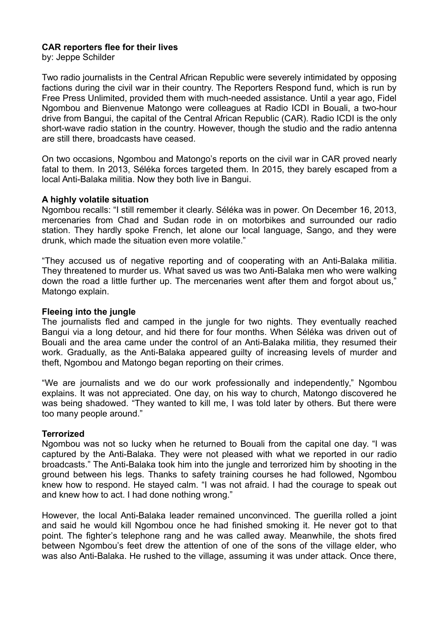# **CAR reporters flee for their lives**

by: Jeppe Schilder

Two radio journalists in the Central African Republic were severely intimidated by opposing factions during the civil war in their country. The Reporters Respond fund, which is run by Free Press Unlimited, provided them with much-needed assistance. Until a year ago, Fidel Ngombou and Bienvenue Matongo were colleagues at Radio ICDI in Bouali, a two-hour drive from Bangui, the capital of the Central African Republic (CAR). Radio ICDI is the only short-wave radio station in the country. However, though the studio and the radio antenna are still there, broadcasts have ceased.

On two occasions, Ngombou and Matongo's reports on the civil war in CAR proved nearly fatal to them. In 2013, Séléka forces targeted them. In 2015, they barely escaped from a local Anti-Balaka militia. Now they both live in Bangui.

### **A highly volatile situation**

Ngombou recalls: "I still remember it clearly. Séléka was in power. On December 16, 2013, mercenaries from Chad and Sudan rode in on motorbikes and surrounded our radio station. They hardly spoke French, let alone our local language, Sango, and they were drunk, which made the situation even more volatile."

"They accused us of negative reporting and of cooperating with an Anti-Balaka militia. They threatened to murder us. What saved us was two Anti-Balaka men who were walking down the road a little further up. The mercenaries went after them and forgot about us," Matongo explain.

### **Fleeing into the jungle**

The journalists fled and camped in the jungle for two nights. They eventually reached Bangui via a long detour, and hid there for four months. When Séléka was driven out of Bouali and the area came under the control of an Anti-Balaka militia, they resumed their work. Gradually, as the Anti-Balaka appeared guilty of increasing levels of murder and theft, Ngombou and Matongo began reporting on their crimes.

"We are journalists and we do our work professionally and independently," Ngombou explains. It was not appreciated. One day, on his way to church, Matongo discovered he was being shadowed. "They wanted to kill me, I was told later by others. But there were too many people around."

### **Terrorized**

Ngombou was not so lucky when he returned to Bouali from the capital one day. "I was captured by the Anti-Balaka. They were not pleased with what we reported in our radio broadcasts." The Anti-Balaka took him into the jungle and terrorized him by shooting in the ground between his legs. Thanks to safety training courses he had followed, Ngombou knew how to respond. He stayed calm. "I was not afraid. I had the courage to speak out and knew how to act. I had done nothing wrong."

However, the local Anti-Balaka leader remained unconvinced. The guerilla rolled a joint and said he would kill Ngombou once he had finished smoking it. He never got to that point. The fighter's telephone rang and he was called away. Meanwhile, the shots fired between Ngombou's feet drew the attention of one of the sons of the village elder, who was also Anti-Balaka. He rushed to the village, assuming it was under attack. Once there,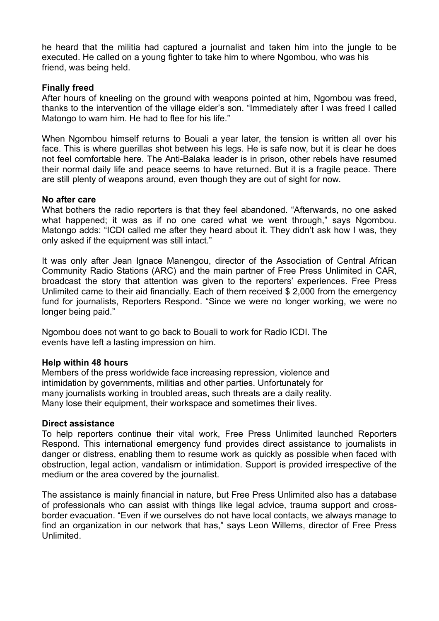he heard that the militia had captured a journalist and taken him into the jungle to be executed. He called on a young fighter to take him to where Ngombou, who was his friend, was being held.

## **Finally freed**

After hours of kneeling on the ground with weapons pointed at him, Ngombou was freed, thanks to the intervention of the village elder's son. "Immediately after I was freed I called Matongo to warn him. He had to flee for his life."

When Ngombou himself returns to Bouali a year later, the tension is written all over his face. This is where guerillas shot between his legs. He is safe now, but it is clear he does not feel comfortable here. The Anti-Balaka leader is in prison, other rebels have resumed their normal daily life and peace seems to have returned. But it is a fragile peace. There are still plenty of weapons around, even though they are out of sight for now.

### **No after care**

What bothers the radio reporters is that they feel abandoned. "Afterwards, no one asked what happened; it was as if no one cared what we went through," says Ngombou. Matongo adds: "ICDI called me after they heard about it. They didn't ask how I was, they only asked if the equipment was still intact."

It was only after Jean Ignace Manengou, director of the Association of Central African Community Radio Stations (ARC) and the main partner of Free Press Unlimited in CAR, broadcast the story that attention was given to the reporters' experiences. Free Press Unlimited came to their aid financially. Each of them received \$ 2,000 from the emergency fund for journalists, Reporters Respond. "Since we were no longer working, we were no longer being paid."

Ngombou does not want to go back to Bouali to work for Radio ICDI. The events have left a lasting impression on him.

### **Help within 48 hours**

Members of the press worldwide face increasing repression, violence and intimidation by governments, militias and other parties. Unfortunately for many journalists working in troubled areas, such threats are a daily reality. Many lose their equipment, their workspace and sometimes their lives.

### **Direct assistance**

To help reporters continue their vital work, Free Press Unlimited launched Reporters Respond. This international emergency fund provides direct assistance to journalists in danger or distress, enabling them to resume work as quickly as possible when faced with obstruction, legal action, vandalism or intimidation. Support is provided irrespective of the medium or the area covered by the journalist.

The assistance is mainly financial in nature, but Free Press Unlimited also has a database of professionals who can assist with things like legal advice, trauma support and crossborder evacuation. "Even if we ourselves do not have local contacts, we always manage to find an organization in our network that has," says Leon Willems, director of Free Press Unlimited.